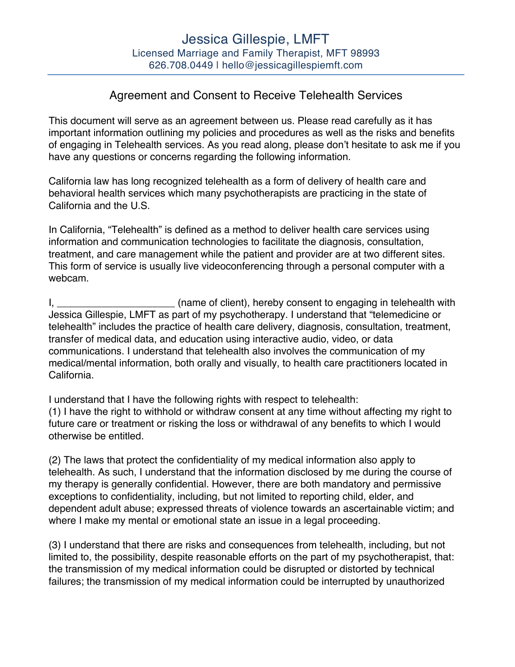## Agreement and Consent to Receive Telehealth Services

This document will serve as an agreement between us. Please read carefully as it has important information outlining my policies and procedures as well as the risks and benefits of engaging in Telehealth services. As you read along, please don't hesitate to ask me if you have any questions or concerns regarding the following information.

California law has long recognized telehealth as a form of delivery of health care and behavioral health services which many psychotherapists are practicing in the state of California and the U.S.

In California, "Telehealth" is defined as a method to deliver health care services using information and communication technologies to facilitate the diagnosis, consultation, treatment, and care management while the patient and provider are at two different sites. This form of service is usually live videoconferencing through a personal computer with a webcam.

I, \_\_\_\_\_\_\_\_\_\_\_\_\_\_\_\_\_\_\_\_\_\_\_\_(name of client), hereby consent to engaging in telehealth with Jessica Gillespie, LMFT as part of my psychotherapy. I understand that "telemedicine or telehealth" includes the practice of health care delivery, diagnosis, consultation, treatment, transfer of medical data, and education using interactive audio, video, or data communications. I understand that telehealth also involves the communication of my medical/mental information, both orally and visually, to health care practitioners located in California.

I understand that I have the following rights with respect to telehealth: (1) I have the right to withhold or withdraw consent at any time without affecting my right to future care or treatment or risking the loss or withdrawal of any benefits to which I would otherwise be entitled.

(2) The laws that protect the confidentiality of my medical information also apply to telehealth. As such, I understand that the information disclosed by me during the course of my therapy is generally confidential. However, there are both mandatory and permissive exceptions to confidentiality, including, but not limited to reporting child, elder, and dependent adult abuse; expressed threats of violence towards an ascertainable victim; and where I make my mental or emotional state an issue in a legal proceeding.

(3) I understand that there are risks and consequences from telehealth, including, but not limited to, the possibility, despite reasonable efforts on the part of my psychotherapist, that: the transmission of my medical information could be disrupted or distorted by technical failures; the transmission of my medical information could be interrupted by unauthorized